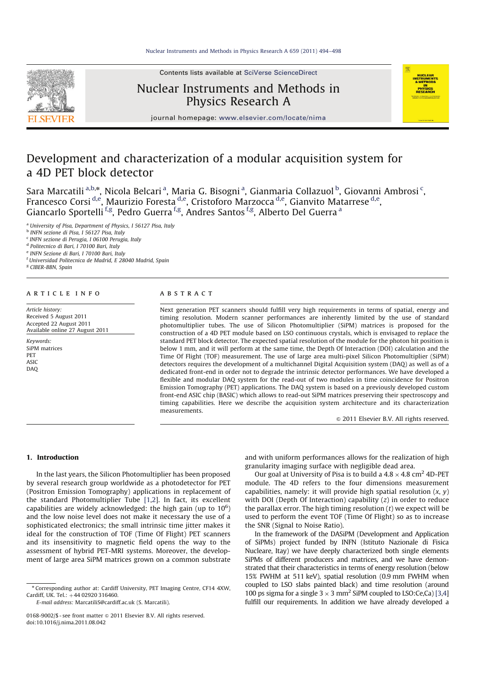Contents lists available at SciVerse ScienceDirect



# Nuclear Instruments and Methods in Physics Research A



journal homepage: www.elsevier.com/locate/nima

# Development and characterization of a modular acquisition system for a 4D PET block detector

Sara Marcatili <sup>a,b,</sup>\*, Nicola Belcari <sup>a</sup>, Maria G. Bisogni <sup>a</sup>, Gianmaria Collazuol <sup>b</sup>, Giovanni Ambrosi <sup>c</sup>, Francesco Corsi <sup>d,e</sup>, Maurizio Foresta <sup>d,e</sup>, Cristoforo Marzocca <sup>d,e</sup>, Gianvito Matarrese <sup>d,e</sup>, Giancarlo Sportelli <sup>f,g</sup>, Pedro Guerra <sup>f,g</sup>, Andres Santos <sup>f,g</sup>, Alberto Del Guerra <sup>a</sup>

<sup>a</sup> *University of Pisa, Department of Physics, I 56127 Pisa, Italy*

b *INFN sezione di Pisa, I 56127 Pisa, Italy*

c *INFN sezione di Perugia, I 06100 Perugia, Italy*

d *Politecnico di Bari, I 70100 Bari, Italy*

e *INFN Sezione di Bari, I 70100 Bari, Italy*

<sup>f</sup> *Universidad Politecnica de Madrid, E 28040 Madrid, Spain*

g *CIBER-BBN, Spain*

#### A R T I C L E I N F O

*Article history:* Received 5 August 2011 Accepted 22 August 2011 Available online 27 August 2011

*Keywords:* SiPM matrices **PFT** ASIC DAQ

# a b s t r a c t

Next generation PET scanners should fulfill very high requirements in terms of spatial, energy and timing resolution. Modern scanner performances are inherently limited by the use of standard photomultiplier tubes. The use of Silicon Photomultiplier (SiPM) matrices is proposed for the construction of a 4D PET module based on LSO continuous crystals, which is envisaged to replace the standard PET block detector. The expected spatial resolution of the module for the photon hit position is below 1 mm, and it will perform at the same time, the Depth Of Interaction (DOI) calculation and the Time Of Flight (TOF) measurement. The use of large area multi-pixel Silicon Photomultiplier (SiPM) detectors requires the development of a multichannel Digital Acquisition system (DAQ) as well as of a dedicated front-end in order not to degrade the intrinsic detector performances. We have developed a flexible and modular DAQ system for the read-out of two modules in time coincidence for Positron Emission Tomography (PET) applications. The DAQ system is based on a previously developed custom front-end ASIC chip (BASIC) which allows to read-out SiPM matrices preserving their spectroscopy and timing capabilities. Here we describe the acquisition system architecture and its characterization measurements.

 $© 2011 Elsevier B.V. All rights reserved.$ 

### 1. Introduction

In the last years, the Silicon Photomultiplier has been proposed by several research group worldwide as a photodetector for PET (Positron Emission Tomography) applications in replacement of the standard Photomultiplier Tube [1,2]. In fact, its excellent capabilities are widely acknowledged: the high gain (up to  $10^6$ ) and the low noise level does not make it necessary the use of a sophisticated electronics; the small intrinsic time jitter makes it ideal for the construction of TOF (Time Of Flight) PET scanners and its insensitivity to magnetic field opens the way to the assessment of hybrid PET-MRI systems. Moreover, the development of large area SiPM matrices grown on a common substrate

n Corresponding author at: Cardiff University, PET Imaging Centre, CF14 4XW, Cardiff, UK. Tel.:  $+44$  02920 316460.

*E-mail address:* MarcatiliS@cardiff.ac.uk (S. Marcatili).

0168-9002/\$ - see front matter  $\odot$  2011 Elsevier B.V. All rights reserved. doi:10.1016/j.nima.2011.08.042

and with uniform performances allows for the realization of high granularity imaging surface with negligible dead area.

Our goal at University of Pisa is to build a  $4.8 \times 4.8$  cm<sup>2</sup> 4D-PET module. The 4D refers to the four dimensions measurement capabilities, namely: it will provide high spatial resolution (*x*, *y*) with DOI (Depth Of Interaction) capability (*z*) in order to reduce the parallax error. The high timing resolution (*t*) we expect will be used to perform the event TOF (Time Of Flight) so as to increase the SNR (Signal to Noise Ratio).

In the framework of the DASiPM (Development and Application of SiPMs) project funded by INFN (Istituto Nazionale di Fisica Nucleare, Itay) we have deeply characterized both single elements SiPMs of different producers and matrices, and we have demonstrated that their characteristics in terms of energy resolution (below 15% FWHM at 511 keV), spatial resolution (0.9 mm FWHM when coupled to LSO slabs painted black) and time resolution (around 100 ps sigma for a single  $3 \times 3$  mm<sup>2</sup> SiPM coupled to LSO:Ce,Ca) [3,4] fulfill our requirements. In addition we have already developed a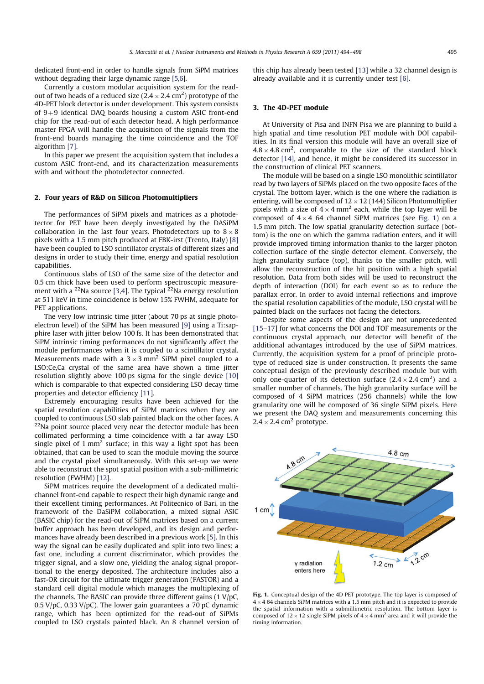dedicated front-end in order to handle signals from SiPM matrices without degrading their large dynamic range [5,6].

Currently a custom modular acquisition system for the readout of two heads of a reduced size (2.4  $\times$  2.4 cm<sup>2</sup>) prototype of the 4D-PET block detector is under development. This system consists of  $9+9$  identical DAQ boards housing a custom ASIC front-end chip for the read-out of each detector head. A high performance master FPGA will handle the acquisition of the signals from the front-end boards managing the time coincidence and the TOF algorithm [7].

In this paper we present the acquisition system that includes a custom ASIC front-end, and its characterization measurements with and without the photodetector connected.

#### 2. Four years of R&D on Silicon Photomultipliers

The performances of SiPM pixels and matrices as a photodetector for PET have been deeply investigated by the DASiPM collaboration in the last four years. Photodetectors up to  $8 \times 8$ pixels with a 1.5 mm pitch produced at FBK-irst (Trento, Italy) [8] have been coupled to LSO scintillator crystals of different sizes and designs in order to study their time, energy and spatial resolution capabilities.

Continuous slabs of LSO of the same size of the detector and 0.5 cm thick have been used to perform spectroscopic measurement with a <sup>22</sup>Na source [3,4]. The typical  $2^{2}$ Na energy resolution at 511 keV in time coincidence is below 15% FWHM, adequate for PET applications.

The very low intrinsic time jitter (about 70 ps at single photoelectron level) of the SiPM has been measured [9] using a Ti:sapphire laser with jitter below 100 fs. It has been demonstrated that SiPM intrinsic timing performances do not significantly affect the module performances when it is coupled to a scintillator crystal. Measurements made with a  $3 \times 3$  mm<sup>2</sup> SiPM pixel coupled to a LSO:Ce,Ca crystal of the same area have shown a time jitter resolution slightly above 100 ps sigma for the single device [10] which is comparable to that expected considering LSO decay time properties and detector efficiency [11].

Extremely encouraging results have been achieved for the spatial resolution capabilities of SiPM matrices when they are coupled to continuous LSO slab painted black on the other faces. A  $22$ Na point source placed very near the detector module has been collimated performing a time coincidence with a far away LSO single pixel of 1 mm<sup>2</sup> surface; in this way a light spot has been obtained, that can be used to scan the module moving the source and the crystal pixel simultaneously. With this set-up we were able to reconstruct the spot spatial position with a sub-millimetric resolution (FWHM) [12].

SiPM matrices require the development of a dedicated multichannel front-end capable to respect their high dynamic range and their excellent timing performances. At Politecnico of Bari, in the framework of the DaSiPM collaboration, a mixed signal ASIC (BASIC chip) for the read-out of SiPM matrices based on a current buffer approach has been developed, and its design and performances have already been described in a previous work [5]. In this way the signal can be easily duplicated and split into two lines: a fast one, including a current discriminator, which provides the trigger signal, and a slow one, yielding the analog signal proportional to the energy deposited. The architecture includes also a fast-OR circuit for the ultimate trigger generation (FASTOR) and a standard cell digital module which manages the multiplexing of the channels. The BASIC can provide three different gains  $(1 V)pC$ , 0.5 V/pC, 0.33 V/pC). The lower gain guarantees a 70 pC dynamic range, which has been optimized for the read-out of SiPMs coupled to LSO crystals painted black. An 8 channel version of this chip has already been tested [13] while a 32 channel design is already available and it is currently under test [6].

# 3. The 4D-PET module

At University of Pisa and INFN Pisa we are planning to build a high spatial and time resolution PET module with DOI capabilities. In its final version this module will have an overall size of  $4.8 \times 4.8$  cm<sup>2</sup>, comparable to the size of the standard block detector [14], and hence, it might be considered its successor in the construction of clinical PET scanners.

The module will be based on a single LSO monolithic scintillator read by two layers of SiPMs placed on the two opposite faces of the crystal. The bottom layer, which is the one where the radiation is entering, will be composed of  $12 \times 12$  (144) Silicon Photomultiplier pixels with a size of  $4 \times 4$  mm<sup>2</sup> each, while the top layer will be composed of  $4 \times 4$  64 channel SiPM matrices (see Fig. 1) on a 1.5 mm pitch. The low spatial granularity detection surface (bottom) is the one on which the gamma radiation enters, and it will provide improved timing information thanks to the larger photon collection surface of the single detector element. Conversely, the high granularity surface (top), thanks to the smaller pitch, will allow the reconstruction of the hit position with a high spatial resolution. Data from both sides will be used to reconstruct the depth of interaction (DOI) for each event so as to reduce the parallax error. In order to avoid internal reflections and improve the spatial resolution capabilities of the module, LSO crystal will be painted black on the surfaces not facing the detectors.

Despite some aspects of the design are not unprecedented [15–17] for what concerns the DOI and TOF measurements or the continuous crystal approach, our detector will benefit of the additional advantages introduced by the use of SiPM matrices. Currently, the acquisition system for a proof of principle prototype of reduced size is under construction. It presents the same conceptual design of the previously described module but with only one-quarter of its detection surface  $(2.4 \times 2.4 \text{ cm}^2)$  and a smaller number of channels. The high granularity surface will be composed of 4 SiPM matrices (256 channels) while the low granularity one will be composed of 36 single SiPM pixels. Here we present the DAQ system and measurements concerning this  $2.4 \times 2.4$  cm<sup>2</sup> prototype.



Fig. 1. Conceptual design of the 4D PET prototype. The top layer is composed of  $4 \times 4$  64 channels SiPM matrices with a 1.5 mm pitch and it is expected to provide the spatial information with a submillimetric resolution. The bottom layer is composed of  $12 \times 12$  single SiPM pixels of  $4 \times 4$  mm<sup>2</sup> area and it will provide the timing information.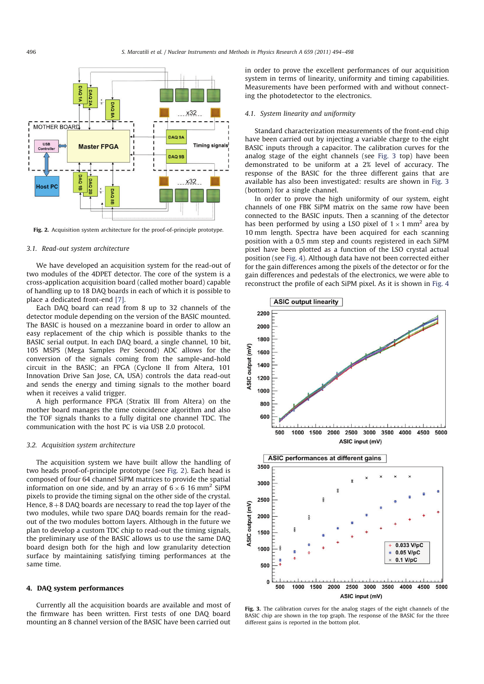

Fig. 2. Acquisition system architecture for the proof-of-principle prototype.

#### *3.1. Read-out system architecture*

We have developed an acquisition system for the read-out of two modules of the 4DPET detector. The core of the system is a cross-application acquisition board (called mother board) capable of handling up to 18 DAQ boards in each of which it is possible to place a dedicated front-end [7].

Each DAQ board can read from 8 up to 32 channels of the detector module depending on the version of the BASIC mounted. The BASIC is housed on a mezzanine board in order to allow an easy replacement of the chip which is possible thanks to the BASIC serial output. In each DAQ board, a single channel, 10 bit, 105 MSPS (Mega Samples Per Second) ADC allows for the conversion of the signals coming from the sample-and-hold circuit in the BASIC; an FPGA (Cyclone II from Altera, 101 Innovation Drive San Jose, CA, USA) controls the data read-out and sends the energy and timing signals to the mother board when it receives a valid trigger.

A high performance FPGA (Stratix III from Altera) on the mother board manages the time coincidence algorithm and also the TOF signals thanks to a fully digital one channel TDC. The communication with the host PC is via USB 2.0 protocol.

# *3.2. Acquisition system architecture*

The acquisition system we have built allow the handling of two heads proof-of-principle prototype (see Fig. 2). Each head is composed of four 64 channel SiPM matrices to provide the spatial information on one side, and by an array of  $6 \times 6$  16 mm<sup>2</sup> SiPM pixels to provide the timing signal on the other side of the crystal. Hence,  $8+8$  DAQ boards are necessary to read the top layer of the two modules, while two spare DAQ boards remain for the readout of the two modules bottom layers. Although in the future we plan to develop a custom TDC chip to read-out the timing signals, the preliminary use of the BASIC allows us to use the same DAQ board design both for the high and low granularity detection surface by maintaining satisfying timing performances at the same time.

#### 4. DAQ system performances

Currently all the acquisition boards are available and most of the firmware has been written. First tests of one DAQ board mounting an 8 channel version of the BASIC have been carried out

in order to prove the excellent performances of our acquisition system in terms of linearity, uniformity and timing capabilities. Measurements have been performed with and without connecting the photodetector to the electronics.

# *4.1. System linearity and uniformity*

Standard characterization measurements of the front-end chip have been carried out by injecting a variable charge to the eight BASIC inputs through a capacitor. The calibration curves for the analog stage of the eight channels (see Fig. 3 top) have been demonstrated to be uniform at a 2% level of accuracy. The response of the BASIC for the three different gains that are available has also been investigated: results are shown in Fig. 3 (bottom) for a single channel.

In order to prove the high uniformity of our system, eight channels of one FBK SiPM matrix on the same row have been connected to the BASIC inputs. Then a scanning of the detector has been performed by using a LSO pixel of  $1 \times 1$  mm<sup>2</sup> area by 10 mm length. Spectra have been acquired for each scanning position with a 0.5 mm step and counts registered in each SiPM pixel have been plotted as a function of the LSO crystal actual position (see Fig. 4). Although data have not been corrected either for the gain differences among the pixels of the detector or for the gain differences and pedestals of the electronics, we were able to reconstruct the profile of each SiPM pixel. As it is shown in Fig. 4



Fig. 3. The calibration curves for the analog stages of the eight channels of the BASIC chip are shown in the top graph. The response of the BASIC for the three different gains is reported in the bottom plot.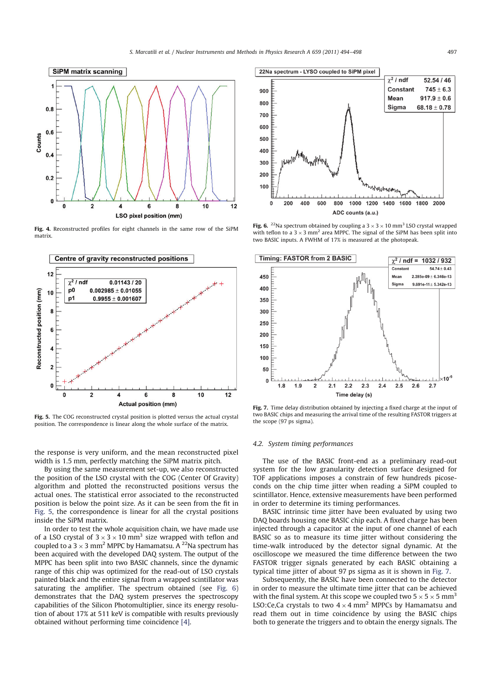

Fig. 4. Reconstructed profiles for eight channels in the same row of the SiPM matrix.



Fig. 5. The COG reconstructed crystal position is plotted versus the actual crystal position. The correspondence is linear along the whole surface of the matrix.

the response is very uniform, and the mean reconstructed pixel width is 1.5 mm, perfectly matching the SiPM matrix pitch.

By using the same measurement set-up, we also reconstructed the position of the LSO crystal with the COG (Center Of Gravity) algorithm and plotted the reconstructed positions versus the actual ones. The statistical error associated to the reconstructed position is below the point size. As it can be seen from the fit in Fig. 5, the correspondence is linear for all the crystal positions inside the SiPM matrix.

In order to test the whole acquisition chain, we have made use of a LSO crystal of  $3 \times 3 \times 10$  mm<sup>3</sup> size wrapped with teflon and coupled to a 3  $\times$  3 mm<sup>2</sup> MPPC by Hamamatsu. A <sup>22</sup>Na spectrum has been acquired with the developed DAQ system. The output of the MPPC has been split into two BASIC channels, since the dynamic range of this chip was optimized for the read-out of LSO crystals painted black and the entire signal from a wrapped scintillator was saturating the amplifier. The spectrum obtained (see Fig. 6) demonstrates that the DAQ system preserves the spectroscopy capabilities of the Silicon Photomultiplier, since its energy resolution of about 17% at 511 keV is compatible with results previously obtained without performing time coincidence [4].



Fig. 6. <sup>22</sup>Na spectrum obtained by coupling a  $3 \times 3 \times 10$  mm<sup>3</sup> LSO crystal wrapped with teflon to a  $3 \times 3$  mm<sup>2</sup> area MPPC. The signal of the SiPM has been split into two BASIC inputs. A FWHM of 17% is measured at the photopeak.



Fig. 7. Time delay distribution obtained by injecting a fixed charge at the input of two BASIC chips and measuring the arrival time of the resulting FASTOR triggers at the scope (97 ps sigma).

#### *4.2. System timing performances*

The use of the BASIC front-end as a preliminary read-out system for the low granularity detection surface designed for TOF applications imposes a constrain of few hundreds picoseconds on the chip time jitter when reading a SiPM coupled to scintillator. Hence, extensive measurements have been performed in order to determine its timing performances.

BASIC intrinsic time jitter have been evaluated by using two DAQ boards housing one BASIC chip each. A fixed charge has been injected through a capacitor at the input of one channel of each BASIC so as to measure its time jitter without considering the time-walk introduced by the detector signal dynamic. At the oscilloscope we measured the time difference between the two FASTOR trigger signals generated by each BASIC obtaining a typical time jitter of about 97 ps sigma as it is shown in Fig. 7.

Subsequently, the BASIC have been connected to the detector in order to measure the ultimate time jitter that can be achieved with the final system. At this scope we coupled two  $5 \times 5 \times 5$  mm<sup>3</sup> LSO:Ce,Ca crystals to two  $4 \times 4$  mm<sup>2</sup> MPPCs by Hamamatsu and read them out in time coincidence by using the BASIC chips both to generate the triggers and to obtain the energy signals. The